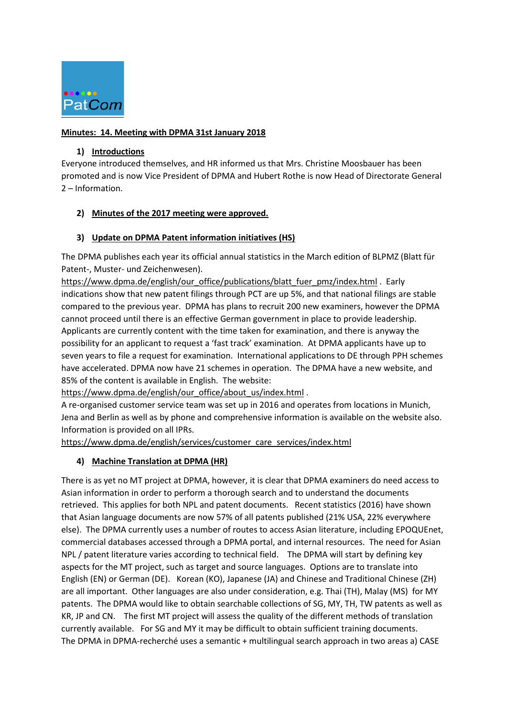

### **Minutes: 14. Meeting with DPMA 31st January 2018**

### **1) Introductions**

Everyone introduced themselves, and HR informed us that Mrs. Christine Moosbauer has been promoted and is now Vice President of DPMA and Hubert Rothe is now Head of Directorate General 2 – Information.

## **2) Minutes of the 2017 meeting were approved.**

## **3) Update on DPMA Patent information initiatives (HS)**

The DPMA publishes each year its official annual statistics in the March edition of BLPMZ (Blatt für Patent-, Muster- und Zeichenwesen).

[https://www.dpma.de/english/our\\_office/publications/blatt\\_fuer\\_pmz/index.html](https://www.dpma.de/english/our_office/publications/blatt_fuer_pmz/index.html) . Early indications show that new patent filings through PCT are up 5%, and that national filings are stable compared to the previous year. DPMA has plans to recruit 200 new examiners, however the DPMA cannot proceed until there is an effective German government in place to provide leadership. Applicants are currently content with the time taken for examination, and there is anyway the possibility for an applicant to request a 'fast track' examination. At DPMA applicants have up to seven years to file a request for examination. International applications to DE through PPH schemes have accelerated. DPMA now have 21 schemes in operation. The DPMA have a new website, and 85% of the content is available in English. The website:

[https://www.dpma.de/english/our\\_office/about\\_us/index.html](https://www.dpma.de/english/our_office/about_us/index.html) .

A re-organised customer service team was set up in 2016 and operates from locations in Munich, Jena and Berlin as well as by phone and comprehensive information is available on the website also. Information is provided on all IPRs.

[https://www.dpma.de/english/services/customer\\_care\\_services/index.html](https://www.dpma.de/english/services/customer_care_services/index.html)

## **4) Machine Translation at DPMA (HR)**

There is as yet no MT project at DPMA, however, it is clear that DPMA examiners do need access to Asian information in order to perform a thorough search and to understand the documents retrieved. This applies for both NPL and patent documents. Recent statistics (2016) have shown that Asian language documents are now 57% of all patents published (21% USA, 22% everywhere else). The DPMA currently uses a number of routes to access Asian literature, including EPOQUEnet, commercial databases accessed through a DPMA portal, and internal resources. The need for Asian NPL / patent literature varies according to technical field. The DPMA will start by defining key aspects for the MT project, such as target and source languages. Options are to translate into English (EN) or German (DE). Korean (KO), Japanese (JA) and Chinese and Traditional Chinese (ZH) are all important. Other languages are also under consideration, e.g. Thai (TH), Malay (MS) for MY patents. The DPMA would like to obtain searchable collections of SG, MY, TH, TW patents as well as KR, JP and CN. The first MT project will assess the quality of the different methods of translation currently available. For SG and MY it may be difficult to obtain sufficient training documents. The DPMA in DPMA-recherché uses a semantic + multilingual search approach in two areas a) CASE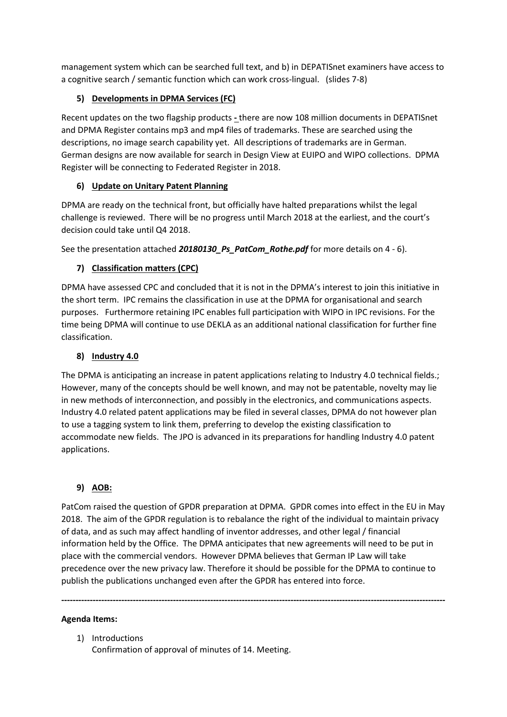management system which can be searched full text, and b) in DEPATISnet examiners have access to a cognitive search / semantic function which can work cross-lingual. (slides 7-8)

## **5) Developments in DPMA Services (FC)**

Recent updates on the two flagship products **-** there are now 108 million documents in DEPATISnet and DPMA Register contains mp3 and mp4 files of trademarks. These are searched using the descriptions, no image search capability yet. All descriptions of trademarks are in German. German designs are now available for search in Design View at EUIPO and WIPO collections. DPMA Register will be connecting to Federated Register in 2018.

# **6) Update on Unitary Patent Planning**

DPMA are ready on the technical front, but officially have halted preparations whilst the legal challenge is reviewed. There will be no progress until March 2018 at the earliest, and the court's decision could take until Q4 2018.

See the presentation attached **20180130\_Ps\_PatCom\_Rothe.pdf** for more details on 4 - 6).

# **7) Classification matters (CPC)**

DPMA have assessed CPC and concluded that it is not in the DPMA's interest to join this initiative in the short term. IPC remains the classification in use at the DPMA for organisational and search purposes. Furthermore retaining IPC enables full participation with WIPO in IPC revisions. For the time being DPMA will continue to use DEKLA as an additional national classification for further fine classification.

# **8) Industry 4.0**

The DPMA is anticipating an increase in patent applications relating to Industry 4.0 technical fields.; However, many of the concepts should be well known, and may not be patentable, novelty may lie in new methods of interconnection, and possibly in the electronics, and communications aspects. Industry 4.0 related patent applications may be filed in several classes, DPMA do not however plan to use a tagging system to link them, preferring to develop the existing classification to accommodate new fields. The JPO is advanced in its preparations for handling Industry 4.0 patent applications.

## **9) AOB:**

PatCom raised the question of GPDR preparation at DPMA. GPDR comes into effect in the EU in May 2018. The aim of the GPDR regulation is to rebalance the right of the individual to maintain privacy of data, and as such may affect handling of inventor addresses, and other legal / financial information held by the Office. The DPMA anticipates that new agreements will need to be put in place with the commercial vendors. However DPMA believes that German IP Law will take precedence over the new privacy law. Therefore it should be possible for the DPMA to continue to publish the publications unchanged even after the GPDR has entered into force.

**--------------------------------------------------------------------------------------------------------------------------------------**

### **Agenda Items:**

1) Introductions Confirmation of approval of minutes of 14. Meeting.